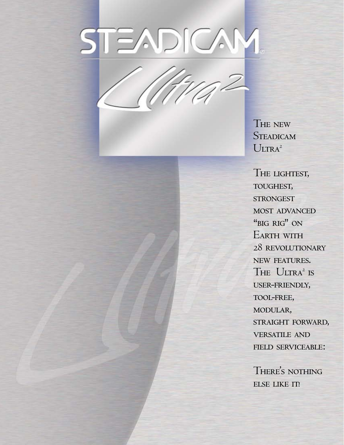# STEADICAM

**THE NEW STEADICAM**  $U_{\text{LTRA}^2}$ 

The lightest, toughest, **STRONGEST** most advanced "BIG RIG" ON EARTH WITH 28 revolutionary new features. The  $U_{\text{LTRA}^2}$  is user-friendly, tool-free, modular, straight forward, versatile and field serviceable:

There s nothing ' ELSE LIKE IT!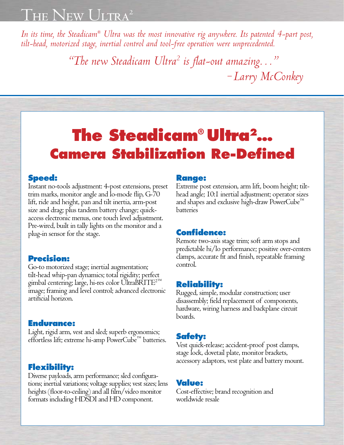*In its time, the Steadicam® Ultra was the most innovative rig anywhere. Its patented 4-part post, tilt-head, motorized stage, inertial control and tool-free operation were unprecedented.*

*"The new Steadicam Ultra2 is flat-out amazing…" – Larry McConkey*

# **The Steadicam® Ultra2 … Camera Stabilization Re-Defined**

### **Speed:**

Instant no-tools adjustment: 4-post extensions, preset trim marks, monitor angle and lo-mode flip, G-70 lift, ride and height, pan and tilt inertia, arm-post size and drag; plus tandem battery change; quickaccess electronic menus, one touch level adjustment. Pre-wired, built in tally lights on the monitor and a plug-in sensor for the stage.

### **Precision:**

Go-to motorized stage; inertial augmentation; tilt-head whip-pan dynamics; total rigidity; perfect gimbal centering; large, hi-res color UltraBRITE<sup>2™</sup> image; framing and level control; advanced electronic artificial horizon.

### **Endurance:**

Light, rigid arm, vest and sled; superb ergonomics; effortless lift; extreme hi-amp PowerCube™ batteries.

# **Flexibility:**

Diverse payloads, arm performance; sled configurations; inertial variations; voltage supplies; vest sizes; lens heights (floor-to-ceiling) and all film/video monitor formats including HDSDI and HD component.

### **Range:**

Extreme post extension, arm lift, boom height; tilthead angle; 10:1 inertial adjustment; operator sizes and shapes and exclusive high-draw PowerCube™ batteries

### **Confidence:**

Remote two-axis stage trim; soft arm stops and predictable hi/lo performance; positive over-centers clamps, accurate fit and finish, repeatable framing control.

# **Reliability:**

Rugged, simple, modular construction; user disassembly; field replacement of components, hardware, wiring harness and backplane circuit boards.

## **Safety:**

Vest quick-release; accident-proof post clamps, stage lock, dovetail plate, monitor brackets, accessory adaptors, vest plate and battery mount.

### **Value:**

Cost-effective; brand recognition and worldwide resale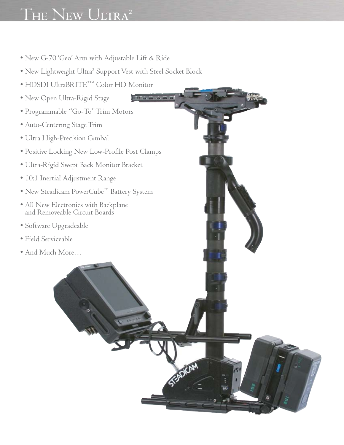- New G-70 'Geo' Arm with Adjustable Lift & Ride
- New Lightweight Ultra<sup>2</sup> Support Vest with Steel Socket Block

a a a a a

**ESPREAM** 

- HDSDI UltraBRITE2™ Color HD Monitor
- New Open Ultra-Rigid Stage
- Programmable "Go-To" Trim Motors
- Auto-Centering Stage Trim
- Ultra High-Precision Gimbal
- Positive Locking New Low-Profile Post Clamps
- Ultra-Rigid Swept Back Monitor Bracket
- 10:1 Inertial Adjustment Range
- New Steadicam PowerCube™ Battery System
- All New Electronics with Backplane and Removeable Circuit Boards
- Software Upgradeable
- Field Serviceable
- And Much More…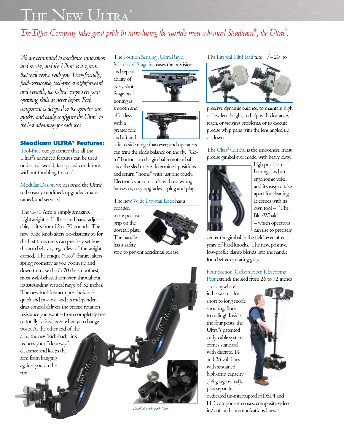# *The Tiffen Company takes great pride in introducing the world's most advanced Steadicam® , the Ultra2 .*

*We are committed to excellence, innovation and service, and the Ultra2 is a system that will evolve with you. User-friendly, field-serviceable, tool-free, straightforward and versatile, the Ultra2 empowers your operating skills as never before. Each component is designed so the operator can quickly and easily configure the Ultra2 to the best advantage for each shot.*

#### **Steadicam ULTRA2 Features:**

Tool-Free our guarantee that all the Ultra<sup>2'</sup>s advanced features can be used under real-world, fast-paced conditions without fumbling for tools.

Modular Design we designed the Ultra<sup>2</sup> to be easily modified, upgraded, maintained, and serviced.

The G-70 Arm is simply amazing. Lightweight – 11 lbs – and hand-adjustable, it lifts from 12 to 70 pounds. The new 'Ride' knob alters iso-elasticity so for the first time, users can precisely set how the arm behaves, regardless of the weight carried. The unique "Geo" feature, alters spring geometry as you boom up and down to make the G-70 the smoothest, most well-behaved arm ever, throughout its astounding vertical range of 32 inches! The new tool-free arm post holder is quick and positive, and its independent drag control delivers the precise rotation resistance you want – from completely free to totally locked, even when you change posts. At the other end of the arm, the new 'kick-back' link reduces your "doorway" clearance and keeps the arm from banging against you on the run.

The Position Sensing , Ultra Rigid, Motorized Stage increases the precision

and repeatability of every shot. Stage positioning is smooth and effortless, with a greater fore

and aft and

side to side range than ever; and operators can trim the sled's balance on the fly. "Goto" buttons on the gimbal remote rebalance the sled to pre-determined positions and return "home" with just one touch. Electronics are on cards, with no wiring harnesses, easy upgrades – plug and play.

#### The new, Wide Dovetail Lock has a

broader, more positive grip on the dovetail plate. The handle has a safety

IZ.



stop to prevent accidental release.

The Integral Tilt Head tilts  $+/- 20^{\circ}$  to



preserve dynamic balance, to maintain high or low lens height, to help with clearance, reach, or viewing problems, or to execute precise whip pans with the lens angled up or down.

The Ultra<sup>2</sup> Gimbal is the smoothest, most precise gimbal ever made, with heavy duty,



high precision bearings and an ergonomic yoke, and it's easy to take apart for cleaning. It comes with its own tool – "The Blue Whale" – which operators can use to precisely

center the gimbal in the field, even after years of hard knocks. The new, positive, low-profile clamp blends into the handle for a better operating grip.

#### Four Section, Carbon Fiber Telescoping Post extends the sled from 26 to 72 inches

– or anywhere in between – for short to long mode shooting, floor to ceiling! Inside the four posts, the Ultra<sup>2'</sup>s patented curly-cable system comes standard with discrete, 14 and 28 volt lines with sustained high-amp capacity (14 gauge wires!), plus separate



dedicated un-interrupted HDSDI and HD component coaxes, composite video in/out, and communications lines.

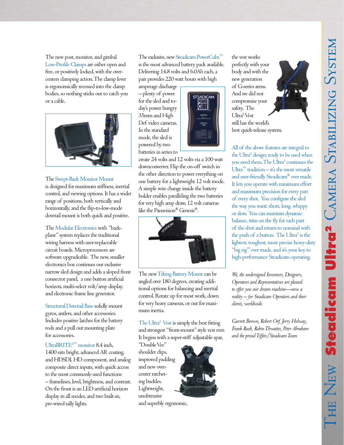The new post, monitor, and gimbal Low-Profile Clamps are either open and free, or positively locked, with the overcenters clamping action. The clamp lever is ergonomically recessed into the clamp bodies, so nothing sticks out to catch you or a cable.



#### The Swept-Back Monitor Mount

is designed for maximum stiffness, inertial control, and viewing options. It has a wider range of positions, both vertically and horizontally, and the flip-to-low-mode dovetail mount is both quick and positive.

The Modular Electronics with "backplane" system replaces the traditional wiring harness with user-replaceable circuit boards. Microprocessors are software upgradeable. The new, smaller electronics box continues our exclusive narrow sled design and adds a sloped front connector panel, a one button artificial horizon, multi-select volt/amp display, and electronic frame line generator.

Structural Dovetail Base solidly mount gyros, antlers, and other accessories. Includes positive latches for the battery rods and a pull out mounting plate for accessories.

UltraBRITE2™ monitor 8.4 inch, 1400 nits bright, advanced AR coating, and HDSDI, HD component, and analog composite direct inputs, with quick access to the most commonly used functions – framelines, level, brightness, and contrast. On the front is an LED artificial horizon display in all modes, and two built-in, pre-wired tally lights.

The exclusive, new Steadicam PowerCube<sup>™</sup> is the most advanced battery pack available. Delivering 14.8 volts and 6.0Ah each, a pair provides 220 watt hours with high

**STEADICAM** 

amperage discharge – plenty of power for the sled and today's power hungry 35mm and High Def video cameras. In the standard mode, the sled is powered by two batteries in series to





The new Tilting Battery Mount can be angled over 180 degrees, creating additional options for balancing and inertial control. Rotate up for most work, down for very heavy cameras, or out for maximum inertia.

The Ultra<sup>2</sup> Vest is simply the best fitting and strongest "front-mount" style vest ever. It begins with a super-stiff adjustable spar,

"Double Vee" shoulder clips, improved padding and new overcenter ratcheting buckles. Lightweight, unobtrusive



and superbly ergonomic,





best quick-release system.

All of the above features are integral to the Ultra<sup>2</sup> design; ready to be used when you need them. The Ultra<sup>2</sup> continues the  $Ultra<sup>™</sup> tradition – it's the most versatile$ and user-friendly Steadicam® ever made. It lets you operate with minimum effort and maximum precision for every part of every shot. You configure the sled the way you want: short, long, whippy or slow. You can maintain dynamic balance, trim on the fly for each part of the shot and return to nominal with the push of a button. The Ultra<sup>2</sup> is the lightest, toughest, most precise heavy-duty "big rig"' ever made, and it's your key to high-performance Steadicam operating.

*We, the undersigned Inventors, Designers, Operators and Representatives are pleased to offer you our dream machine—now a reality – for Steadicam Operators and their clients, worldwide.*

*Garrett Brown, Robert Orf, Jerry Holway, Frank Rush, Robin Thwaites, Peter Abraham and the proud Tiffen/Steadicam Team*